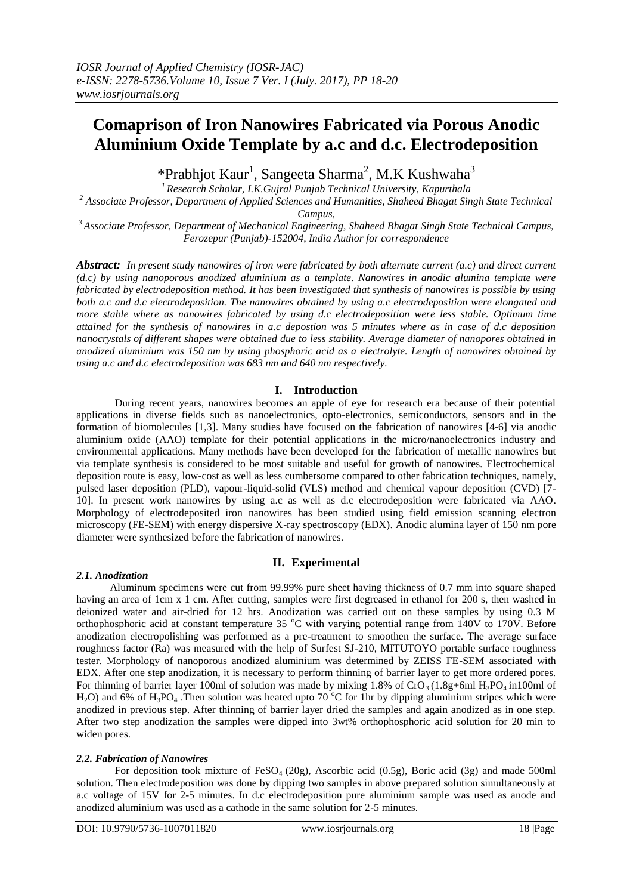# **Comaprison of Iron Nanowires Fabricated via Porous Anodic Aluminium Oxide Template by a.c and d.c. Electrodeposition**

\*Prabhjot Kaur<sup>1</sup>, Sangeeta Sharma<sup>2</sup>, M.K Kushwaha<sup>3</sup>

*<sup>1</sup>Research Scholar, I.K.Gujral Punjab Technical University, Kapurthala*

*<sup>2</sup> Associate Professor, Department of Applied Sciences and Humanities, Shaheed Bhagat Singh State Technical* 

*Campus,*

*<sup>3</sup>Associate Professor, Department of Mechanical Engineering, Shaheed Bhagat Singh State Technical Campus, Ferozepur (Punjab)-152004, India Author for correspondence*

*Abstract: In present study nanowires of iron were fabricated by both alternate current (a.c) and direct current (d.c) by using nanoporous anodized aluminium as a template. Nanowires in anodic alumina template were fabricated by electrodeposition method. It has been investigated that synthesis of nanowires is possible by using both a.c and d.c electrodeposition. The nanowires obtained by using a.c electrodeposition were elongated and more stable where as nanowires fabricated by using d.c electrodeposition were less stable. Optimum time attained for the synthesis of nanowires in a.c depostion was 5 minutes where as in case of d.c deposition nanocrystals of different shapes were obtained due to less stability. Average diameter of nanopores obtained in anodized aluminium was 150 nm by using phosphoric acid as a electrolyte. Length of nanowires obtained by using a.c and d.c electrodeposition was 683 nm and 640 nm respectively.*

# **I. Introduction**

During recent years, nanowires becomes an apple of eye for research era because of their potential applications in diverse fields such as nanoelectronics, opto-electronics, semiconductors, sensors and in the formation of biomolecules [1,3]. Many studies have focused on the fabrication of nanowires [4-6] via anodic aluminium oxide (AAO) template for their potential applications in the micro/nanoelectronics industry and environmental applications. Many methods have been developed for the fabrication of metallic nanowires but via template synthesis is considered to be most suitable and useful for growth of nanowires. Electrochemical deposition route is easy, low-cost as well as less cumbersome compared to other fabrication techniques, namely, pulsed laser deposition (PLD), vapour-liquid-solid (VLS) method and chemical vapour deposition (CVD) [7- 10]. In present work nanowires by using a.c as well as d.c electrodeposition were fabricated via AAO. Morphology of electrodeposited iron nanowires has been studied using field emission scanning electron microscopy (FE-SEM) with energy dispersive X-ray spectroscopy (EDX). Anodic alumina layer of 150 nm pore diameter were synthesized before the fabrication of nanowires.

# **II. Experimental**

#### *2.1. Anodization*

Aluminum specimens were cut from 99.99% pure sheet having thickness of 0.7 mm into square shaped having an area of 1cm x 1 cm. After cutting, samples were first degreased in ethanol for 200 s, then washed in deionized water and air-dried for 12 hrs. Anodization was carried out on these samples by using 0.3 M orthophosphoric acid at constant temperature 35  $^{\circ}$ C with varying potential range from 140V to 170V. Before anodization electropolishing was performed as a pre-treatment to smoothen the surface. The average surface roughness factor (Ra) was measured with the help of Surfest SJ-210, MITUTOYO portable surface roughness tester. Morphology of nanoporous anodized aluminium was determined by ZEISS FE-SEM associated with EDX. After one step anodization, it is necessary to perform thinning of barrier layer to get more ordered pores. For thinning of barrier layer 100ml of solution was made by mixing 1.8% of  $CrO<sub>3</sub>(1.8g+6mH<sub>3</sub>PO<sub>4</sub> in100mI)$  of H<sub>2</sub>O) and 6% of H<sub>3</sub>PO<sub>4</sub>. Then solution was heated upto 70 °C for 1hr by dipping aluminium stripes which were anodized in previous step. After thinning of barrier layer dried the samples and again anodized as in one step. After two step anodization the samples were dipped into 3wt% orthophosphoric acid solution for 20 min to widen pores.

#### *2.2. Fabrication of Nanowires*

For deposition took mixture of FeSO<sub>4</sub> (20g), Ascorbic acid (0.5g), Boric acid (3g) and made 500ml solution. Then electrodeposition was done by dipping two samples in above prepared solution simultaneously at a.c voltage of 15V for 2-5 minutes. In d.c electrodeposition pure aluminium sample was used as anode and anodized aluminium was used as a cathode in the same solution for 2-5 minutes.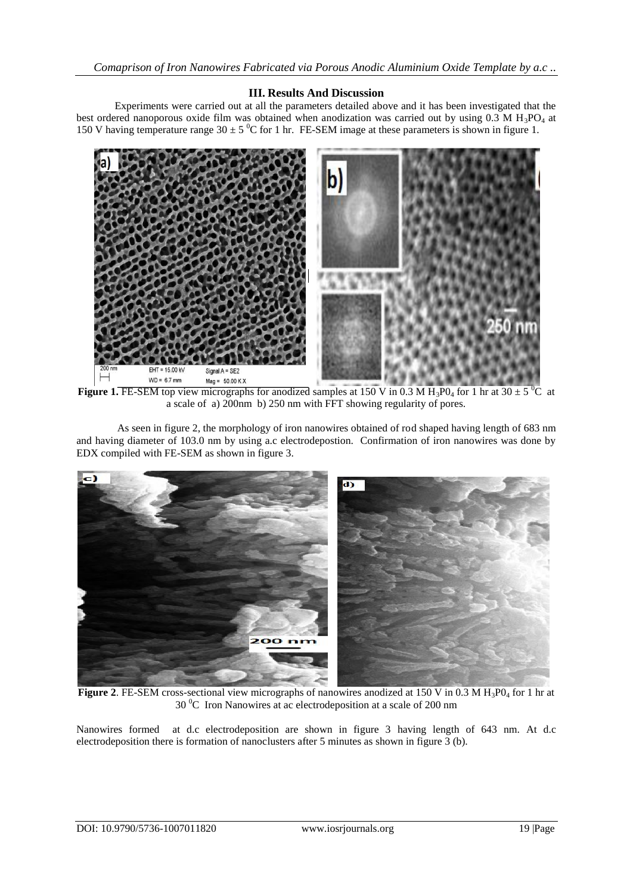### **III. Results And Discussion**

Experiments were carried out at all the parameters detailed above and it has been investigated that the best ordered nanoporous oxide film was obtained when anodization was carried out by using  $0.3 \text{ M H}_3\text{PO}_4$  at 150 V having temperature range  $30 \pm 5$  °C for 1 hr. FE-SEM image at these parameters is shown in figure 1.



**Figure 1. FE-SEM** top view micrographs for anodized samples at 150 V in 0.3 M H<sub>3</sub>P0<sub>4</sub> for 1 hr at 30  $\pm$  5<sup>0</sup>C at a scale of a) 200nm b) 250 nm with FFT showing regularity of pores.

As seen in figure 2, the morphology of iron nanowires obtained of rod shaped having length of 683 nm and having diameter of 103.0 nm by using a.c electrodepostion. Confirmation of iron nanowires was done by EDX compiled with FE-SEM as shown in figure 3.



Figure 2. FE-SEM cross-sectional view micrographs of nanowires anodized at 150 V in 0.3 M H<sub>3</sub>P0<sub>4</sub> for 1 hr at 30 <sup>0</sup>C Iron Nanowires at ac electrodeposition at a scale of 200 nm

Nanowires formed at d.c electrodeposition are shown in figure 3 having length of 643 nm. At d.c electrodeposition there is formation of nanoclusters after 5 minutes as shown in figure 3 (b).